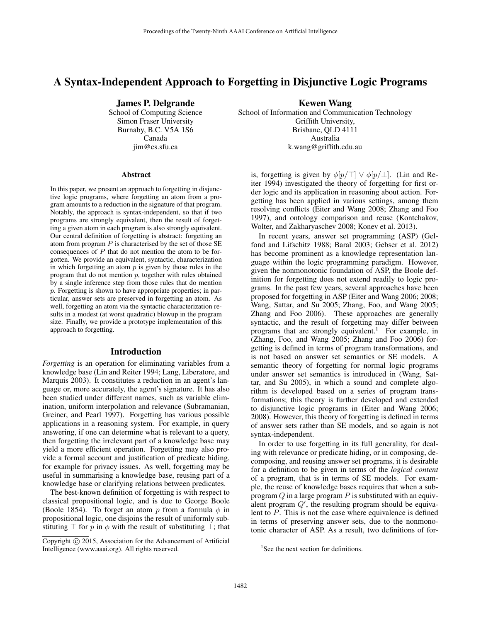# A Syntax-Independent Approach to Forgetting in Disjunctive Logic Programs

James P. Delgrande School of Computing Science Simon Fraser University Burnaby, B.C. V5A 1S6 Canada jim@cs.sfu.ca

#### Abstract

In this paper, we present an approach to forgetting in disjunctive logic programs, where forgetting an atom from a program amounts to a reduction in the signature of that program. Notably, the approach is syntax-independent, so that if two programs are strongly equivalent, then the result of forgetting a given atom in each program is also strongly equivalent. Our central definition of forgetting is abstract: forgetting an atom from program  $P$  is characterised by the set of those SE consequences of  $P$  that do not mention the atom to be forgotten. We provide an equivalent, syntactic, characterization in which forgetting an atom  $p$  is given by those rules in the program that do not mention  $p$ , together with rules obtained by a single inference step from those rules that do mention p. Forgetting is shown to have appropriate properties; in particular, answer sets are preserved in forgetting an atom. As well, forgetting an atom via the syntactic characterization results in a modest (at worst quadratic) blowup in the program size. Finally, we provide a prototype implementation of this approach to forgetting.

### Introduction

*Forgetting* is an operation for eliminating variables from a knowledge base (Lin and Reiter 1994; Lang, Liberatore, and Marquis 2003). It constitutes a reduction in an agent's language or, more accurately, the agent's signature. It has also been studied under different names, such as variable elimination, uniform interpolation and relevance (Subramanian, Greiner, and Pearl 1997). Forgetting has various possible applications in a reasoning system. For example, in query answering, if one can determine what is relevant to a query, then forgetting the irrelevant part of a knowledge base may yield a more efficient operation. Forgetting may also provide a formal account and justification of predicate hiding, for example for privacy issues. As well, forgetting may be useful in summarising a knowledge base, reusing part of a knowledge base or clarifying relations between predicates.

The best-known definition of forgetting is with respect to classical propositional logic, and is due to George Boole (Boole 1854). To forget an atom p from a formula  $\phi$  in propositional logic, one disjoins the result of uniformly substituting  $\top$  for p in  $\phi$  with the result of substituting  $\bot$ ; that

Kewen Wang

School of Information and Communication Technology Griffith University, Brisbane, QLD 4111 Australia k.wang@griffith.edu.au

is, forgetting is given by  $\phi[p/\top] \vee \phi[p/\bot]$ . (Lin and Reiter 1994) investigated the theory of forgetting for first order logic and its application in reasoning about action. Forgetting has been applied in various settings, among them resolving conflicts (Eiter and Wang 2008; Zhang and Foo 1997), and ontology comparison and reuse (Kontchakov, Wolter, and Zakharyaschev 2008; Konev et al. 2013).

In recent years, answer set programming (ASP) (Gelfond and Lifschitz 1988; Baral 2003; Gebser et al. 2012) has become prominent as a knowledge representation language within the logic programming paradigm. However, given the nonmonotonic foundation of ASP, the Boole definition for forgetting does not extend readily to logic programs. In the past few years, several approaches have been proposed for forgetting in ASP (Eiter and Wang 2006; 2008; Wang, Sattar, and Su 2005; Zhang, Foo, and Wang 2005; Zhang and Foo 2006). These approaches are generally syntactic, and the result of forgetting may differ between programs that are strongly equivalent.<sup>1</sup> For example, in (Zhang, Foo, and Wang 2005; Zhang and Foo 2006) forgetting is defined in terms of program transformations, and is not based on answer set semantics or SE models. A semantic theory of forgetting for normal logic programs under answer set semantics is introduced in (Wang, Sattar, and Su 2005), in which a sound and complete algorithm is developed based on a series of program transformations; this theory is further developed and extended to disjunctive logic programs in (Eiter and Wang 2006; 2008). However, this theory of forgetting is defined in terms of answer sets rather than SE models, and so again is not syntax-independent.

In order to use forgetting in its full generality, for dealing with relevance or predicate hiding, or in composing, decomposing, and reusing answer set programs, it is desirable for a definition to be given in terms of the *logical content* of a program, that is in terms of SE models. For example, the reuse of knowledge bases requires that when a subprogram  $Q$  in a large program  $P$  is substituted with an equivalent program  $Q'$ , the resulting program should be equivalent to P. This is not the case where equivalence is defined in terms of preserving answer sets, due to the nonmonotonic character of ASP. As a result, two definitions of for-

Copyright (c) 2015, Association for the Advancement of Artificial Intelligence (www.aaai.org). All rights reserved.

<sup>&</sup>lt;sup>1</sup>See the next section for definitions.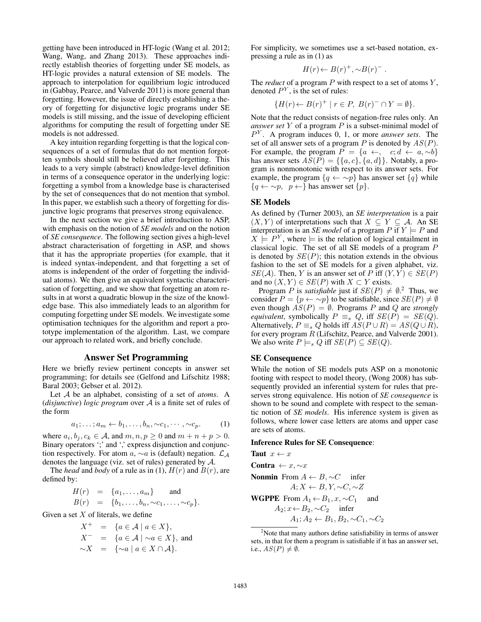getting have been introduced in HT-logic (Wang et al. 2012; Wang, Wang, and Zhang 2013). These approaches indirectly establish theories of forgetting under SE models, as HT-logic provides a natural extension of SE models. The approach to interpolation for equilibrium logic introduced in (Gabbay, Pearce, and Valverde 2011) is more general than forgetting. However, the issue of directly establishing a theory of forgetting for disjunctive logic programs under SE models is still missing, and the issue of developing efficient algorithms for computing the result of forgetting under SE models is not addressed.

A key intuition regarding forgetting is that the logical consequences of a set of formulas that do not mention forgotten symbols should still be believed after forgetting. This leads to a very simple (abstract) knowledge-level definition in terms of a consequence operator in the underlying logic: forgetting a symbol from a knowledge base is characterised by the set of consequences that do not mention that symbol. In this paper, we establish such a theory of forgetting for disjunctive logic programs that preserves strong equivalence.

In the next section we give a brief introduction to ASP, with emphasis on the notion of *SE models* and on the notion of *SE consequence*. The following section gives a high-level abstract characterisation of forgetting in ASP, and shows that it has the appropriate properties (for example, that it is indeed syntax-independent, and that forgetting a set of atoms is independent of the order of forgetting the individual atoms). We then give an equivalent syntactic characterisation of forgetting, and we show that forgetting an atom results in at worst a quadratic blowup in the size of the knowledge base. This also immediately leads to an algorithm for computing forgetting under SE models. We investigate some optimisation techniques for the algorithm and report a prototype implementation of the algorithm. Last, we compare our approach to related work, and briefly conclude.

#### Answer Set Programming

Here we briefly review pertinent concepts in answer set programming; for details see (Gelfond and Lifschitz 1988; Baral 2003; Gebser et al. 2012).

Let A be an alphabet, consisting of a set of *atoms*. A (*disjunctive*) *logic program* over A is a finite set of rules of the form

$$
a_1; \ldots; a_m \leftarrow b_1, \ldots, b_n, \sim c_1, \cdots, \sim c_p. \tag{1}
$$

where  $a_i, b_j, c_k \in A$ , and  $m, n, p \ge 0$  and  $m + n + p > 0$ . Binary operators ';' and ',' express disjunction and conjunction respectively. For atom a,  $\sim a$  is (default) negation.  $\mathcal{L}_A$ denotes the language (viz. set of rules) generated by A.

The *head* and *body* of a rule as in (1),  $H(r)$  and  $B(r)$ , are defined by:

$$
H(r) = \{a_1, \ldots, a_m\} \text{ and}
$$
  
\n
$$
B(r) = \{b_1, \ldots, b_n, \sim c_1, \ldots, \sim c_p\}.
$$

Given a set  $X$  of literals, we define

$$
X^{+} = \{a \in \mathcal{A} \mid a \in X\},
$$
  
\n
$$
X^{-} = \{a \in \mathcal{A} \mid \neg a \in X\},
$$
 and  
\n
$$
\sim X = \{\neg a \mid a \in X \cap \mathcal{A}\}.
$$

For simplicity, we sometimes use a set-based notation, expressing a rule as in (1) as

$$
H(r) \leftarrow B(r)^+, \sim B(r)^-.
$$

The *reduct* of a program  $P$  with respect to a set of atoms  $Y$ , denoted  $P<sup>Y</sup>$ , is the set of rules:

$$
\{H(r) \leftarrow B(r)^+ \mid r \in P, B(r)^- \cap Y = \emptyset\}.
$$

Note that the reduct consists of negation-free rules only. An *answer set* Y of a program P is a subset-minimal model of P Y . A program induces 0, 1, or more *answer sets*. The set of all answer sets of a program  $P$  is denoted by  $AS(P)$ . For example, the program  $P = \{a \leftarrow, c; d \leftarrow a, \sim b\}$ has answer sets  $\widehat{AS}(P) = \{\{a, c\}, \{a, d\}\}\$ . Notably, a program is nonmonotonic with respect to its answer sets. For example, the program  ${q \leftarrow \sim p}$  has answer set  ${q}$  while  ${q \leftarrow \sim p, p \leftarrow}$  has answer set  ${p}.$ 

### SE Models

As defined by (Turner 2003), an *SE interpretation* is a pair  $(X, Y)$  of interpretations such that  $X \subseteq Y \subseteq A$ . An SE interpretation is an *SE model* of a program P if  $Y \models P$  and  $X \models P^Y$ , where  $\models$  is the relation of logical entailment in classical logic. The set of all SE models of a program P is denoted by  $SE(P)$ ; this notation extends in the obvious fashion to the set of SE models for a given alphabet, viz.  $SE(\mathcal{A})$ . Then, Y is an answer set of P iff  $(Y, Y) \in SE(P)$ and no  $(X, Y) \in SE(P)$  with  $X \subset Y$  exists.

Program P is *satisfiable* just if  $SE(P) \neq \emptyset$ <sup>2</sup> Thus, we consider  $P = \{p \leftarrow \sim p\}$  to be satisfiable, since  $SE(P) \neq \emptyset$ even though  $\widehat{AS}(P) = \emptyset$ . Programs P and Q are *strongly equivalent*, symbolically  $P \equiv_s Q$ , iff  $SE(P) = SE(Q)$ . Alternatively,  $P \equiv s Q$  holds iff  $AS(P \cup R) = AS(Q \cup R)$ , for every program R (Lifschitz, Pearce, and Valverde 2001). We also write  $P \models_s Q$  iff  $SE(P) \subseteq SE(Q)$ .

#### SE Consequence

While the notion of SE models puts ASP on a monotonic footing with respect to model theory, (Wong 2008) has subsequently provided an inferential system for rules that preserves strong equivalence. His notion of *SE consequence* is shown to be sound and complete with respect to the semantic notion of *SE models*. His inference system is given as follows, where lower case letters are atoms and upper case are sets of atoms.

#### Inference Rules for SE Consequence:

Taut 
$$
x \leftarrow x
$$

Contra  $\leftarrow x, \sim x$ 

Nonmin From  $A \leftarrow B \sim C$  infer  $A; X \leftarrow B, Y, \sim C, \sim Z$ 

**WGPPE** From 
$$
A_1 \leftarrow B_1
$$
,  $x$ ,  $\sim C_1$  and  
\n $A_2$ ;  $x \leftarrow B_2$ ,  $\sim C_2$  infer  
\n $A_1$ ;  $A_2 \leftarrow B_1$ ,  $B_2$ ,  $\sim C_1$ ,  $\sim C_2$ 

 $2$ Note that many authors define satisfiability in terms of answer sets, in that for them a program is satisfiable if it has an answer set, i.e.,  $AS(P) \neq \emptyset$ .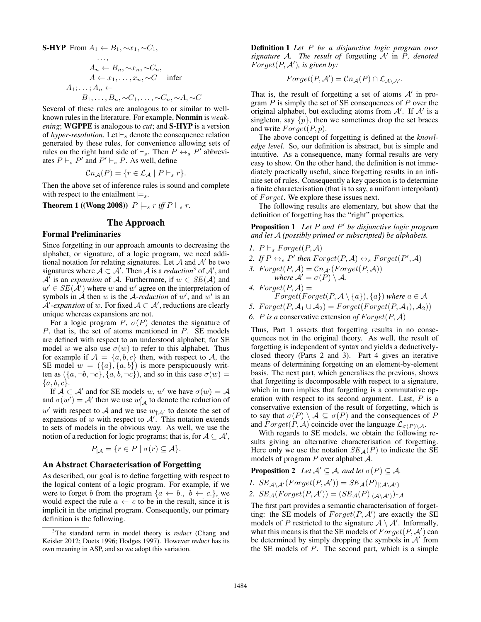S-HYP From 
$$
A_1 \leftarrow B_1, \sim x_1, \sim C_1
$$
,  
\n...,  
\n $A_n \leftarrow B_n, \sim x_n, \sim C_n$ ,  
\n $A \leftarrow x_1, \ldots, x_n, \sim C$  infer  
\n $A_1; \ldots; A_n \leftarrow B_1, \ldots, B_n, \sim C_1, \ldots, \sim C_n, \sim A, \sim C$ 

Several of these rules are analogous to or similar to wellknown rules in the literature. For example, Nonmin is *weakening*; WGPPE is analogous to *cut*; and S-HYP is a version of *hyper-resolution*. Let  $\vdash_s$  denote the consequence relation generated by these rules, for convenience allowing sets of rules on the right hand side of  $\vdash_s$ . Then  $P \leftrightarrow_s P'$  abbreviates  $P \vdash_s P'$  and  $P' \vdash_s P$ . As well, define

$$
\mathcal{C}n_{\mathcal{A}}(P) = \{r \in \mathcal{L}_{\mathcal{A}} \mid P \vdash_s r\}.
$$

Then the above set of inference rules is sound and complete with respect to the entailment  $\models_s$ .

**Theorem 1** ((Wong 2008))  $P \models_s r$  *iff*  $P \models_s r$ .

### The Approach

### Formal Preliminaries

Since forgetting in our approach amounts to decreasing the alphabet, or signature, of a logic program, we need additional notation for relating signatures. Let  $A$  and  $A'$  be two signatures where  $A \subset A'$ . Then A is a *reduction*<sup>3</sup> of A', and  $A^{\dagger}$  is an *expansion* of A. Furthermore, if  $w \in SE(A)$  and  $w' \in SE(\mathcal{A}')$  where w and w' agree on the interpretation of symbols in  $\hat{A}$  then  $w$  is the A-reduction of  $w'$ , and  $w'$  is an  $\mathcal{A}'$ -expansion of w. For fixed  $\mathcal{A} \subset \mathcal{A}'$ , reductions are clearly unique whereas expansions are not.

For a logic program P,  $\sigma(P)$  denotes the signature of P, that is, the set of atoms mentioned in P. SE models are defined with respect to an understood alphabet; for SE model w we also use  $\sigma(w)$  to refer to this alphabet. Thus for example if  $A = \{a, b, c\}$  then, with respect to A, the SE model  $w = (\{a\}, \{a, b\})$  is more perspicuously written as  $({a, \neg b, \neg c}, {a, b, \neg c})$ , and so in this case  $\sigma(w)$  =  ${a, b, c}.$ 

If  $\mathcal{A} \subset \mathcal{A}'$  and for SE models w, w' we have  $\sigma(w) = \mathcal{A}$ and  $\sigma(w') = A'$  then we use  $w'_{|A}$  to denote the reduction of w' with respect to A and we use  $w_{\uparrow}A$  to denote the set of expansions of  $w$  with respect to  $A'$ . This notation extends to sets of models in the obvious way. As well, we use the notion of a reduction for logic programs; that is, for  $A \subseteq A'$ ,

$$
P_{|\mathcal{A}} = \{ r \in P \mid \sigma(r) \subseteq \mathcal{A} \}.
$$

#### An Abstract Characterisation of Forgetting

As described, our goal is to define forgetting with respect to the logical content of a logic program. For example, if we were to forget b from the program  $\{a \leftarrow b, b \leftarrow c\}$ , we would expect the rule  $a \leftarrow c$  to be in the result, since it is implicit in the original program. Consequently, our primary definition is the following.

Definition 1 *Let* P *be a disjunctive logic program over* signature A. The result of forgetting  $A'$  in  $\overline{P}$ , denoted  $\tilde{For} get(P, A'),$  is given by:

$$
Forget(P, \mathcal{A}') = \mathcal{C}n_{\mathcal{A}}(P) \cap \mathcal{L}_{\mathcal{A} \setminus \mathcal{A}'}.
$$

That is, the result of forgetting a set of atoms  $A'$  in program  $P$  is simply the set of SE consequences of  $P$  over the original alphabet, but excluding atoms from  $A'$ . If  $A'$  is a singleton, say  $\{p\}$ , then we sometimes drop the set braces and write  $Forget(P, p)$ .

The above concept of forgetting is defined at the *knowledge level*. So, our definition is abstract, but is simple and intuitive. As a consequence, many formal results are very easy to show. On the other hand, the definition is not immediately practically useful, since forgetting results in an infinite set of rules. Consequently a key question is to determine a finite characterisation (that is to say, a uniform interpolant) of  $For get.$  We explore these issues next.

The following results are elementary, but show that the definition of forgetting has the "right" properties.

Proposition 1 Let P and P' be disjunctive logic program *and let* A *(possibly primed or subscripted) be alphabets.*

- *1.*  $P \vdash_s Forget(P, A)$
- 2. If  $P \leftrightarrow_s P'$  then  $F \text{ or } get(P, A) \leftrightarrow_s F \text{ or } get(P', A)$
- *3.*  $Forget(P, A) = Cn_{A'}(Forget(P, A))$ *where*  $A' = \sigma(P) \setminus A$ *.*
- 4.  $For get(P, A) =$  $For get(F or get(P, A \setminus \{a\}), \{a\})$  *where*  $a \in A$
- *5.*  $Forget(P, \mathcal{A}_1 \cup \mathcal{A}_2) = Forget(F or get(P, \mathcal{A}_1), \mathcal{A}_2))$
- 6. P is a conservative extension of  $For get(P, A)$

Thus, Part 1 asserts that forgetting results in no consequences not in the original theory. As well, the result of forgetting is independent of syntax and yields a deductivelyclosed theory (Parts 2 and 3). Part 4 gives an iterative means of determining forgetting on an element-by-element basis. The next part, which generalises the previous, shows that forgetting is decomposable with respect to a signature, which in turn implies that forgetting is a commutative operation with respect to its second argument. Last,  $P$  is a conservative extension of the result of forgetting, which is to say that  $\sigma(P) \setminus A \subseteq \sigma(P)$  and the consequences of P and  $Forget(P, A)$  coincide over the language  $\mathcal{L}_{\sigma(P)\setminus A}$ .

With regards to SE models, we obtain the following results giving an alternative characterisation of forgetting. Here only we use the notation  $SE_{\mathcal{A}}(P)$  to indicate the SE models of program  $P$  over alphabet  $A$ .

**Proposition 2** Let  $\mathcal{A}' \subseteq \mathcal{A}$ *, and let*  $\sigma(P) \subseteq \mathcal{A}$ *.* 

1. 
$$
SE_{\mathcal{A}\backslash \mathcal{A}'}(Forget(P, \mathcal{A}')) = SE_{\mathcal{A}}(P)_{|(\mathcal{A}\backslash \mathcal{A}')}
$$

2. 
$$
SE_{\mathcal{A}}(Forget(P, \mathcal{A}')) = (SE_{\mathcal{A}}(P)|(\mathcal{A}\backslash \mathcal{A}')\uparrow \mathcal{A}
$$

The first part provides a semantic characterisation of forgetting: the SE models of  $Forget(P, A')$  are exactly the SE models of P restricted to the signature  $A \setminus A'$ . Informally, what this means is that the SE models of  $Forget(P, A')$  can be determined by simply dropping the symbols in  $A'$  from the SE models of  $P$ . The second part, which is a simple

<sup>3</sup>The standard term in model theory is *reduct* (Chang and Keisler 2012; Doets 1996; Hodges 1997). However *reduct* has its own meaning in ASP, and so we adopt this variation.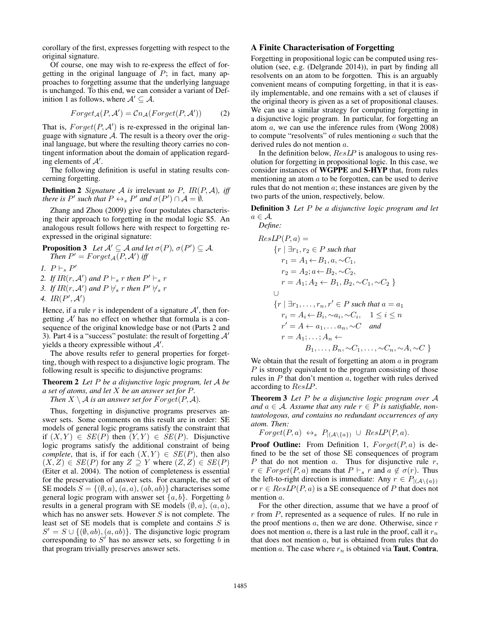corollary of the first, expresses forgetting with respect to the original signature.

Of course, one may wish to re-express the effect of forgetting in the original language of  $P$ ; in fact, many approaches to forgetting assume that the underlying language is unchanged. To this end, we can consider a variant of Definition 1 as follows, where  $A' \subseteq A$ .

$$
For get_{\mathcal{A}}(P, \mathcal{A}') = Cn_{\mathcal{A}}(For get(P, \mathcal{A}'))
$$
 (2)

That is,  $Forget(P, A')$  is re-expressed in the original language with signature  $A$ . The result is a theory over the original language, but where the resulting theory carries no contingent information about the domain of application regarding elements of  $A'$ .

The following definition is useful in stating results concerning forgetting.

**Definition 2** *Signature* A *is* irrelevant *to* P,  $IR(P, A)$ *, iff there is*  $P'$  *such that*  $P \leftrightarrow_s P'$  *and*  $\sigma(P') \cap A = \emptyset$ *.* 

Zhang and Zhou (2009) give four postulates characterising their approach to forgetting in the modal logic S5. An analogous result follows here with respect to forgetting reexpressed in the original signature:

**Proposition 3** Let  $A' \subseteq A$  and let  $\sigma(P)$ ,  $\sigma(P') \subseteq A$ .  $\hat{Then} P' = Forget_{\mathcal{A}}(P, \mathcal{A}') \; \text{iff}$ 

1.  $P \vdash_s P'$ 2. If IR( $r$ ,  $A'$ ) and  $P \vdash_s r$  then  $P' \vdash_s r$ *3.* If IR( $r$ ,  $A'$ ) and  $P \nvDash_s r$  then  $P' \nvDash_s r$ 4.  $IR(P', A')$ 

Hence, if a rule  $r$  is independent of a signature  $A'$ , then forgetting  $A'$  has no effect on whether that formula is a consequence of the original knowledge base or not (Parts 2 and 3). Part 4 is a "success" postulate: the result of forgetting  $A'$ yields a theory expressible without  $A'$ .

The above results refer to general properties for forgetting, though with respect to a disjunctive logic program. The following result is specific to disjunctive programs:

Theorem 2 *Let* P *be a disjunctive logic program, let* A *be a set of atoms, and let* X *be an answer set for* P*.*

*Then*  $X \setminus A$  *is an answer set for Forget* $(P, A)$ *.* 

Thus, forgetting in disjunctive programs preserves answer sets. Some comments on this result are in order: SE models of general logic programs satisfy the constraint that if  $(X, Y) \in SE(P)$  then  $(Y, Y) \in SE(P)$ . Disjunctive logic programs satisfy the additional constraint of being *complete*, that is, if for each  $(X, Y) \in SE(P)$ , then also  $(X, Z) \in SE(P)$  for any  $Z \supseteq Y$  where  $(Z, Z) \in SE(P)$ (Eiter et al. 2004). The notion of completeness is essential for the preservation of answer sets. For example, the set of SE models  $S = \{(\emptyset, a), (a, a), (ab, ab)\}\$ characterises some general logic program with answer set  $\{a, b\}$ . Forgetting b results in a general program with SE models  $($ emptyset, a),  $(a, a)$ , which has no answer sets. However  $S$  is not complete. The least set of SE models that is complete and contains S is  $S' = S \cup \{ (\emptyset, ab), (a, ab) \}.$  The disjunctive logic program corresponding to  $S'$  has no answer sets, so forgetting  $b$  in that program trivially preserves answer sets.

#### A Finite Characterisation of Forgetting

Forgetting in propositional logic can be computed using resolution (see, e.g. (Delgrande 2014)), in part by finding all resolvents on an atom to be forgotten. This is an arguably convenient means of computing forgetting, in that it is easily implementable, and one remains with a set of clauses if the original theory is given as a set of propositional clauses. We can use a similar strategy for computing forgetting in a disjunctive logic program. In particular, for forgetting an atom a, we can use the inference rules from (Wong 2008) to compute "resolvents" of rules mentioning  $\alpha$  such that the derived rules do not mention a.

In the definition below, ResLP is analogous to using resolution for forgetting in propositional logic. In this case, we consider instances of WGPPE and S-HYP that, from rules mentioning an atom  $a$  to be forgotten, can be used to derive rules that do not mention  $a$ ; these instances are given by the two parts of the union, respectively, below.

Definition 3 *Let* P *be a disjunctive logic program and let*  $a \in \mathcal{A}$ . *Define:*

$$
ResLP(P, a) =
$$
  
\n
$$
\{r \mid \exists r_1, r_2 \in P \text{ such that}
$$
  
\n
$$
r_1 = A_1 \leftarrow B_1, a, \sim C_1,
$$
  
\n
$$
r_2 = A_2; a \leftarrow B_2, \sim C_2,
$$
  
\n
$$
r = A_1; A_2 \leftarrow B_1, B_2, \sim C_1, \sim C_2 \}
$$
  
\n
$$
\cup
$$
  
\n
$$
\{r \mid \exists r_1, \ldots, r_n, r' \in P \text{ such that } a = a_1
$$
  
\n
$$
r_i = A_i \leftarrow B_i, \sim a_i, \sim C_i, \quad 1 \leq i \leq n
$$
  
\n
$$
r' = A \leftarrow a_1, \ldots a_n, \sim C \text{ and}
$$
  
\n
$$
r = A_1; \ldots; A_n \leftarrow B_1, \ldots, B_n, \sim C_1, \ldots, \sim C_n, \sim A, \sim C \}
$$

We obtain that the result of forgetting an atom  $\alpha$  in program P is strongly equivalent to the program consisting of those rules in  $P$  that don't mention  $a$ , together with rules derived according to ResLP.

Theorem 3 *Let* P *be a disjunctive logic program over* A and  $a \in \mathcal{A}$ . Assume that any rule  $r \in P$  is satisfiable, non*tautologous, and contains no redundant occurrences of any atom. Then:*

$$
Forget(P, a) \leftrightarrow_s P_{|(A \setminus \{a\})} \cup ResLP(P, a).
$$

**Proof Outline:** From Definition 1,  $For get(P, a)$  is defined to be the set of those SE consequences of program P that do not mention  $a$ . Thus for disjunctive rule  $r$ ,  $r \in Forget(P, a)$  means that  $P \vdash_s r$  and  $a \notin \sigma(r)$ . Thus the left-to-right direction is immediate: Any  $r \in P_{((\mathcal{A}\setminus\{a\}))}$ or  $r \in ResLP(P, a)$  is a SE consequence of P that does not mention a.

For the other direction, assume that we have a proof of  $r$  from  $P$ , represented as a sequence of rules. If no rule in the proof mentions  $a$ , then we are done. Otherwise, since  $r$ does not mention a, there is a last rule in the proof, call it  $r_n$ that does not mention  $a$ , but is obtained from rules that do mention a. The case where  $r_n$  is obtained via **Taut**, Contra,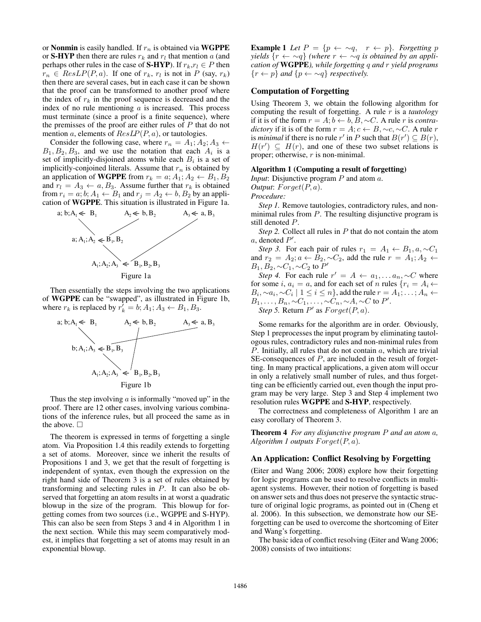or **Nonmin** is easily handled. If  $r_n$  is obtained via **WGPPE** or **S-HYP** then there are rules  $r_k$  and  $r_l$  that mention a (and perhaps other rules in the case of S-HYP). If  $r_k, r_l \in P$  then  $r_n \in ResLP(P, a)$ . If one of  $r_k$ ,  $r_l$  is not in P (say,  $r_k$ ) then there are several cases, but in each case it can be shown that the proof can be transformed to another proof where the index of  $r_k$  in the proof sequence is decreased and the index of no rule mentioning  $a$  is increased. This process must terminate (since a proof is a finite sequence), where the premisses of the proof are either rules of  $P$  that do not mention a, elements of  $ResLP(P, a)$ , or tautologies.

Consider the following case, where  $r_n = A_1; A_2; A_3 \leftarrow$  $B_1, B_2, B_3$ , and we use the notation that each  $A_i$  is a set of implicitly-disjoined atoms while each  $B_i$  is a set of implicitly-conjoined literals. Assume that  $r_n$  is obtained by an application of **WGPPE** from  $r_k = a$ ;  $A_1$ ;  $A_2 \leftarrow B_1$ ,  $B_2$ and  $r_l = A_3 \leftarrow a, B_3$ . Assume further that  $r_k$  is obtained from  $r_i = a$ ;  $b$ ;  $A_1 \leftarrow B_1$  and  $r_j = A_2 \leftarrow b$ ,  $B_2$  by an application of WGPPE. This situation is illustrated in Figure 1a.



Then essentially the steps involving the two applications of WGPPE can be "swapped", as illustrated in Figure 1b, where  $r_k$  is replaced by  $r'_k = b$ ;  $A_1$ ;  $A_3 \leftarrow B_1, B_3$ .





proof. There are 12 other cases, involving various combinations of the inference rules, but all proceed the same as in the above.  $\square$ 

The theorem is expressed in terms of forgetting a single atom. Via Proposition 1.4 this readily extends to forgetting a set of atoms. Moreover, since we inherit the results of Propositions 1 and 3, we get that the result of forgetting is independent of syntax, even though the expression on the right hand side of Theorem 3 is a set of rules obtained by transforming and selecting rules in  $P$ . It can also be observed that forgetting an atom results in at worst a quadratic blowup in the size of the program. This blowup for forgetting comes from two sources (i.e., WGPPE and S-HYP). This can also be seen from Steps 3 and 4 in Algorithm 1 in the next section. While this may seem comparatively modest, it implies that forgetting a set of atoms may result in an exponential blowup.

**Example 1** *Let*  $P = \{p \leftarrow \sim q, r \leftarrow p\}$ *. Forgetting* p *yields*  $\{r \leftarrow \sim q\}$  *(where*  $r \leftarrow \sim q$  *is obtained by an application of* WGPPE*), while forgetting* q *and* r *yield programs*  ${r \leftarrow p}$  *and*  ${p \leftarrow \sim q}$  *respectively.* 

## Computation of Forgetting

Using Theorem 3, we obtain the following algorithm for computing the result of forgetting. A rule r is a *tautology* if it is of the form  $r = A$ ;  $b \leftarrow b$ ,  $\overline{B}$ ,  $\sim$   $C$ . A rule r is *contradictory* if it is of the form  $r = A$ ;  $c \leftarrow B$ ,  $\sim c$ ,  $\sim C$ . A rule r is *minimal* if there is no rule r' in P such that  $B(r') \subseteq B(r)$ ,  $H(r') \subseteq H(r)$ , and one of these two subset relations is proper; otherwise,  $r$  is non-minimal.

#### Algorithm 1 (Computing a result of forgetting)

*Input*: Disjunctive program P and atom a. *Output*:  $For a  $e$  t(P, a)$ .

*Procedure:*

*Step 1.* Remove tautologies, contradictory rules, and nonminimal rules from  $P$ . The resulting disjunctive program is still denoted P.

*Step 2.* Collect all rules in P that do not contain the atom  $a$ , denoted  $P'$ .

*Step 3.* For each pair of rules  $r_1 = A_1 \leftarrow B_1, a, \sim C_1$ and  $r_2 = A_2$ ;  $a \leftarrow \overline{B}_2$ ,  $\sim C_2$ , add the rule  $r = A_1$ ;  $A_2 \leftarrow$  $B_1, B_2, \sim C_1, \sim C_2$  to  $P'$ 

*Step 4.* For each rule  $r' = A \leftarrow a_1, \ldots a_n, \sim C$  where for some i,  $a_i = a$ , and for each set of n rules  $\{r_i = A_i\}$  $B_i, \sim a_i, \sim C_i \mid 1 \leq i \leq n$ , add the rule  $r = A_1; \ldots; A_n \leftarrow \{$  $B_1, \ldots, B_n, \sim C_1, \ldots, \sim C_n, \sim A, \sim C$  to  $P'.$ 

*Step 5.* Return  $P'$  as  $F or get(P, a)$ .

Some remarks for the algorithm are in order. Obviously, Step 1 preprocesses the input program by eliminating tautologous rules, contradictory rules and non-minimal rules from  $P$ . Initially, all rules that do not contain  $a$ , which are trivial SE-consequences of  $P$ , are included in the result of forgetting. In many practical applications, a given atom will occur in only a relatively small number of rules, and thus forgetting can be efficiently carried out, even though the input program may be very large. Step 3 and Step 4 implement two resolution rules WGPPE and S-HYP, respectively.

The correctness and completeness of Algorithm 1 are an easy corollary of Theorem 3.

Theorem 4 *For any disjunctive program* P *and an atom* a*, Algorithm 1 outputs*  $For get(P, a)$ *.* 

## An Application: Conflict Resolving by Forgetting

(Eiter and Wang 2006; 2008) explore how their forgetting for logic programs can be used to resolve conflicts in multiagent systems. However, their notion of forgetting is based on answer sets and thus does not preserve the syntactic structure of original logic programs, as pointed out in (Cheng et al. 2006). In this subsection, we demonstrate how our SEforgetting can be used to overcome the shortcoming of Eiter and Wang's forgetting.

The basic idea of conflict resolving (Eiter and Wang 2006; 2008) consists of two intuitions: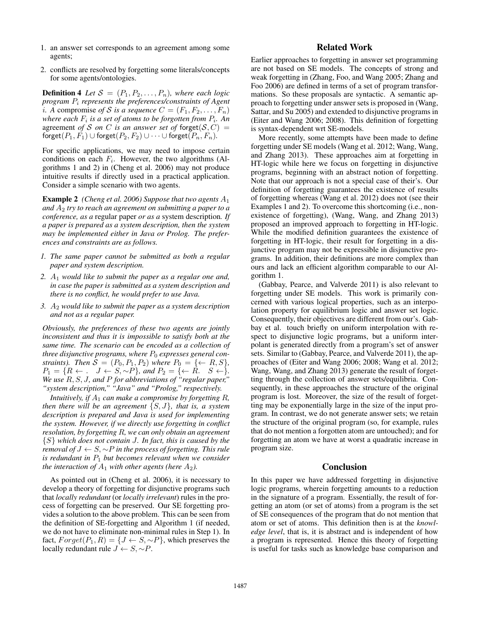- 1. an answer set corresponds to an agreement among some agents;
- 2. conflicts are resolved by forgetting some literals/concepts for some agents/ontologies.

**Definition 4** Let  $S = (P_1, P_2, \ldots, P_n)$ *, where each logic program* P<sup>i</sup> *represents the preferences/constraints of Agent i*. A compromise of S is a sequence  $C = (F_1, F_2, \ldots, F_n)$ where each  $F_i$  is a set of atoms to be forgotten from  $P_i$ . An agreement *of* S *on* C *is an answer set of* forget( $S, C$ ) = forget $(P_1, F_1) \cup$  forget $(P_2, F_2) \cup \cdots \cup$  forget $(P_n, F_n)$ .

For specific applications, we may need to impose certain conditions on each  $F_i$ . However, the two algorithms (Algorithms 1 and 2) in (Cheng et al. 2006) may not produce intuitive results if directly used in a practical application. Consider a simple scenario with two agents.

Example 2 *(Cheng et al. 2006) Suppose that two agents* A<sup>1</sup> *and* A<sup>2</sup> *try to reach an agreement on submitting a paper to a conference, as a* regular paper *or as a* system description*. If a paper is prepared as a system description, then the system may be implemented either in Java or Prolog. The preferences and constraints are as follows.*

- *1. The same paper cannot be submitted as both a regular paper and system description.*
- 2.  $A_1$  *would like to submit the paper as a regular one and, in case the paper is submitted as a system description and there is no conflict, he would prefer to use Java.*
- *3.* A<sup>2</sup> *would like to submit the paper as a system description and not as a regular paper.*

*Obviously, the preferences of these two agents are jointly inconsistent and thus it is impossible to satisfy both at the same time. The scenario can be encoded as a collection of three disjunctive programs, where*  $P_0$  *expresses general constraints). Then*  $S = (P_0, P_1, P_2)$  *where*  $P_0 = \{ \leftarrow R, S \}$ *,*  $P_1 = \{R \leftarrow \ldots \quad J \leftarrow S, \sim P\}$ , and  $P_2 = \{\leftarrow R. \quad S \leftarrow\}$ . *We use* R, S, J*, and* P *for abbreviations of "regular paper," "system description," "Java" and "Prolog," respectively.*

*Intuitively, if*  $A_1$  *can make a compromise by forgetting*  $R$ *, then there will be an agreement* {S, J}*, that is, a system description is prepared and Java is used for implementing the system. However, if we directly use forgetting in conflict resolution, by forgetting* R*, we can only obtain an agreement* {S} *which does not contain* J*. In fact, this is caused by the removal of* J ← S, ∼P *in the process of forgetting. This rule is redundant in*  $P_1$  *but becomes relevant when we consider the interaction of*  $A_1$  *with other agents (here*  $A_2$ ).

As pointed out in (Cheng et al. 2006), it is necessary to develop a theory of forgetting for disjunctive programs such that *locally redundant* (or *locally irrelevant*) rules in the process of forgetting can be preserved. Our SE forgetting provides a solution to the above problem. This can be seen from the definition of SE-forgetting and Algorithm 1 (if needed, we do not have to eliminate non-minimal rules in Step 1). In fact,  $Forget(P_1, R) = \{J \leftarrow S, \sim P\}$ , which preserves the locally redundant rule  $J \leftarrow S, \sim P$ .

## Related Work

Earlier approaches to forgetting in answer set programming are not based on SE models. The concepts of strong and weak forgetting in (Zhang, Foo, and Wang 2005; Zhang and Foo 2006) are defined in terms of a set of program transformations. So these proposals are syntactic. A semantic approach to forgetting under answer sets is proposed in (Wang, Sattar, and Su 2005) and extended to disjunctive programs in (Eiter and Wang 2006; 2008). This definition of forgetting is syntax-dependent wrt SE-models.

More recently, some attempts have been made to define forgetting under SE models (Wang et al. 2012; Wang, Wang, and Zhang 2013). These approaches aim at forgetting in HT-logic while here we focus on forgetting in disjunctive programs, beginning with an abstract notion of forgetting. Note that our approach is not a special case of their's. Our definition of forgetting guarantees the existence of results of forgetting whereas (Wang et al. 2012) does not (see their Examples 1 and 2). To overcome this shortcoming (i.e., nonexistence of forgetting), (Wang, Wang, and Zhang 2013) proposed an improved approach to forgetting in HT-logic. While the modified definition guarantees the existence of forgetting in HT-logic, their result for forgetting in a disjunctive program may not be expressible in disjunctive programs. In addition, their definitions are more complex than ours and lack an efficient algorithm comparable to our Algorithm 1.

(Gabbay, Pearce, and Valverde 2011) is also relevant to forgetting under SE models. This work is primarily concerned with various logical properties, such as an interpolation property for equilibrium logic and answer set logic. Consequently, their objectives are different from our's. Gabbay et al. touch briefly on uniform interpolation with respect to disjunctive logic programs, but a uniform interpolant is generated directly from a program's set of answer sets. Similar to (Gabbay, Pearce, and Valverde 2011), the approaches of (Eiter and Wang 2006; 2008; Wang et al. 2012; Wang, Wang, and Zhang 2013) generate the result of forgetting through the collection of answer sets/equilibria. Consequently, in these approaches the structure of the original program is lost. Moreover, the size of the result of forgetting may be exponentially large in the size of the input program. In contrast, we do not generate answer sets; we retain the structure of the original program (so, for example, rules that do not mention a forgotten atom are untouched); and for forgetting an atom we have at worst a quadratic increase in program size.

## Conclusion

In this paper we have addressed forgetting in disjunctive logic programs, wherein forgetting amounts to a reduction in the signature of a program. Essentially, the result of forgetting an atom (or set of atoms) from a program is the set of SE consequences of the program that do not mention that atom or set of atoms. This definition then is at the *knowledge level*, that is, it is abstract and is independent of how a program is represented. Hence this theory of forgetting is useful for tasks such as knowledge base comparison and